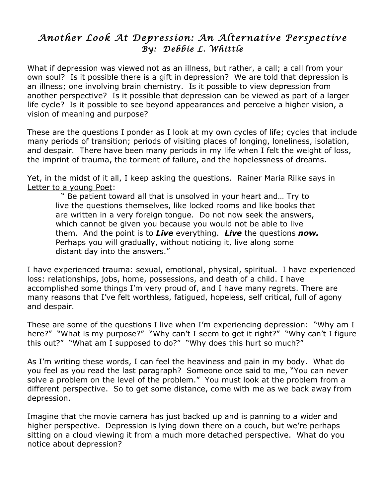## *Another Look At Depression: An Alternative Perspective By: Debbie L. Whittle*

What if depression was viewed not as an illness, but rather, a call; a call from your own soul? Is it possible there is a gift in depression? We are told that depression is an illness; one involving brain chemistry. Is it possible to view depression from another perspective? Is it possible that depression can be viewed as part of a larger life cycle? Is it possible to see beyond appearances and perceive a higher vision, a vision of meaning and purpose?

These are the questions I ponder as I look at my own cycles of life; cycles that include many periods of transition; periods of visiting places of longing, loneliness, isolation, and despair. There have been many periods in my life when I felt the weight of loss, the imprint of trauma, the torment of failure, and the hopelessness of dreams.

Yet, in the midst of it all, I keep asking the questions. Rainer Maria Rilke says in Letter to a young Poet:

" Be patient toward all that is unsolved in your heart and… Try to live the questions themselves, like locked rooms and like books that are written in a very foreign tongue. Do not now seek the answers, which cannot be given you because you would not be able to live them. And the point is to *Live* everything. *Live* the questions *now.* Perhaps you will gradually, without noticing it, live along some distant day into the answers."

I have experienced trauma: sexual, emotional, physical, spiritual. I have experienced loss: relationships, jobs, home, possessions, and death of a child. I have accomplished some things I'm very proud of, and I have many regrets. There are many reasons that I've felt worthless, fatigued, hopeless, self critical, full of agony and despair.

These are some of the questions I live when I'm experiencing depression: "Why am I here?" "What is my purpose?" "Why can't I seem to get it right?" "Why can't I figure this out?" "What am I supposed to do?" "Why does this hurt so much?"

As I'm writing these words, I can feel the heaviness and pain in my body. What do you feel as you read the last paragraph? Someone once said to me, "You can never solve a problem on the level of the problem." You must look at the problem from a different perspective. So to get some distance, come with me as we back away from depression.

Imagine that the movie camera has just backed up and is panning to a wider and higher perspective. Depression is lying down there on a couch, but we're perhaps sitting on a cloud viewing it from a much more detached perspective. What do you notice about depression?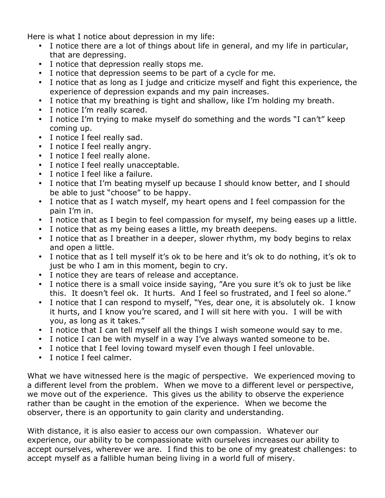Here is what I notice about depression in my life:

- I notice there are a lot of things about life in general, and my life in particular, that are depressing.
- I notice that depression really stops me.
- I notice that depression seems to be part of a cycle for me.
- I notice that as long as I judge and criticize myself and fight this experience, the experience of depression expands and my pain increases.
- I notice that my breathing is tight and shallow, like I'm holding my breath.
- I notice I'm really scared.
- I notice I'm trying to make myself do something and the words "I can't" keep coming up.
- I notice I feel really sad.
- I notice I feel really angry.
- I notice I feel really alone.
- I notice I feel really unacceptable.
- I notice I feel like a failure.
- I notice that I'm beating myself up because I should know better, and I should be able to just "choose" to be happy.
- I notice that as I watch myself, my heart opens and I feel compassion for the pain I'm in.
- I notice that as I begin to feel compassion for myself, my being eases up a little.
- I notice that as my being eases a little, my breath deepens.
- I notice that as I breather in a deeper, slower rhythm, my body begins to relax and open a little.
- I notice that as I tell myself it's ok to be here and it's ok to do nothing, it's ok to just be who I am in this moment, begin to cry.
- I notice they are tears of release and acceptance.
- I notice there is a small voice inside saying, "Are you sure it's ok to just be like this. It doesn't feel ok. It hurts. And I feel so frustrated, and I feel so alone."
- I notice that I can respond to myself, "Yes, dear one, it is absolutely ok. I know it hurts, and I know you're scared, and I will sit here with you. I will be with you, as long as it takes."
- I notice that I can tell myself all the things I wish someone would say to me.
- I notice I can be with myself in a way I've always wanted someone to be.
- I notice that I feel loving toward myself even though I feel unlovable.
- I notice I feel calmer.

What we have witnessed here is the magic of perspective. We experienced moving to a different level from the problem. When we move to a different level or perspective, we move out of the experience. This gives us the ability to observe the experience rather than be caught in the emotion of the experience. When we become the observer, there is an opportunity to gain clarity and understanding.

With distance, it is also easier to access our own compassion. Whatever our experience, our ability to be compassionate with ourselves increases our ability to accept ourselves, wherever we are. I find this to be one of my greatest challenges: to accept myself as a fallible human being living in a world full of misery.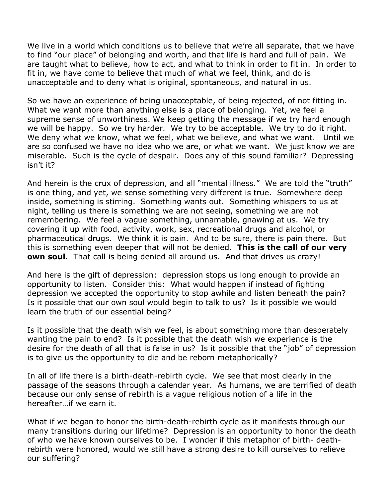We live in a world which conditions us to believe that we're all separate, that we have to find "our place" of belonging and worth, and that life is hard and full of pain. We are taught what to believe, how to act, and what to think in order to fit in. In order to fit in, we have come to believe that much of what we feel, think, and do is unacceptable and to deny what is original, spontaneous, and natural in us.

So we have an experience of being unacceptable, of being rejected, of not fitting in. What we want more than anything else is a place of belonging. Yet, we feel a supreme sense of unworthiness. We keep getting the message if we try hard enough we will be happy. So we try harder. We try to be acceptable. We try to do it right. We deny what we know, what we feel, what we believe, and what we want. Until we are so confused we have no idea who we are, or what we want. We just know we are miserable. Such is the cycle of despair. Does any of this sound familiar? Depressing isn't it?

And herein is the crux of depression, and all "mental illness." We are told the "truth" is one thing, and yet, we sense something very different is true. Somewhere deep inside, something is stirring. Something wants out. Something whispers to us at night, telling us there is something we are not seeing, something we are not remembering. We feel a vague something, unnamable, gnawing at us. We try covering it up with food, activity, work, sex, recreational drugs and alcohol, or pharmaceutical drugs. We think it is pain. And to be sure, there is pain there. But this is something even deeper that will not be denied. **This is the call of our very own soul**. That call is being denied all around us. And that drives us crazy!

And here is the gift of depression: depression stops us long enough to provide an opportunity to listen. Consider this: What would happen if instead of fighting depression we accepted the opportunity to stop awhile and listen beneath the pain? Is it possible that our own soul would begin to talk to us? Is it possible we would learn the truth of our essential being?

Is it possible that the death wish we feel, is about something more than desperately wanting the pain to end? Is it possible that the death wish we experience is the desire for the death of all that is false in us? Is it possible that the "job" of depression is to give us the opportunity to die and be reborn metaphorically?

In all of life there is a birth-death-rebirth cycle. We see that most clearly in the passage of the seasons through a calendar year. As humans, we are terrified of death because our only sense of rebirth is a vague religious notion of a life in the hereafter…if we earn it.

What if we began to honor the birth-death-rebirth cycle as it manifests through our many transitions during our lifetime? Depression is an opportunity to honor the death of who we have known ourselves to be. I wonder if this metaphor of birth- deathrebirth were honored, would we still have a strong desire to kill ourselves to relieve our suffering?